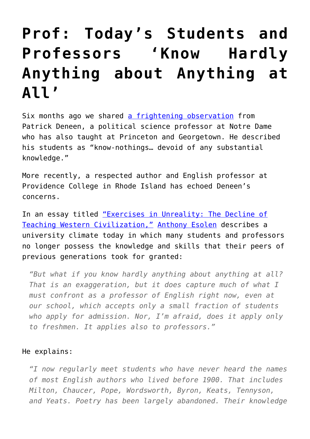## **[Prof: Today's Students and](https://intellectualtakeout.org/2016/08/prof-todays-students-and-professors-know-hardly-anything-about-anything-at-all/) [Professors 'Know Hardly](https://intellectualtakeout.org/2016/08/prof-todays-students-and-professors-know-hardly-anything-about-anything-at-all/) [Anything about Anything at](https://intellectualtakeout.org/2016/08/prof-todays-students-and-professors-know-hardly-anything-about-anything-at-all/) [All'](https://intellectualtakeout.org/2016/08/prof-todays-students-and-professors-know-hardly-anything-about-anything-at-all/)**

Six months ago we shared [a frightening observation](https://www.intellectualtakeout.org/blog/notre-dame-prof-our-schools-are-committing-%E2%80%98civilizational-suicide%E2%80%99) from Patrick Deneen, a political science professor at Notre Dame who has also taught at Princeton and Georgetown. He described his students as "know-nothings… devoid of any substantial knowledge."

More recently, a respected author and English professor at Providence College in Rhode Island has echoed Deneen's concerns.

In an essay titled ["Exercises in Unreality: The Decline of](https://home.isi.org/sites/default/files/MA58.3_Esolen_Web.pdf) [Teaching Western Civilization,"](https://home.isi.org/sites/default/files/MA58.3_Esolen_Web.pdf) [Anthony Esolen](http://www.providence.edu/english/faculty/Pages/aesolen.aspx) describes a university climate today in which many students and professors no longer possess the knowledge and skills that their peers of previous generations took for granted:

*"But what if you know hardly anything about anything at all? That is an exaggeration, but it does capture much of what I must confront as a professor of English right now, even at our school, which accepts only a small fraction of students who apply for admission. Nor, I'm afraid, does it apply only to freshmen. It applies also to professors."*

## He explains:

*"I now regularly meet students who have never heard the names of most English authors who lived before 1900. That includes Milton, Chaucer, Pope, Wordsworth, Byron, Keats, Tennyson, and Yeats. Poetry has been largely abandoned. Their knowledge*